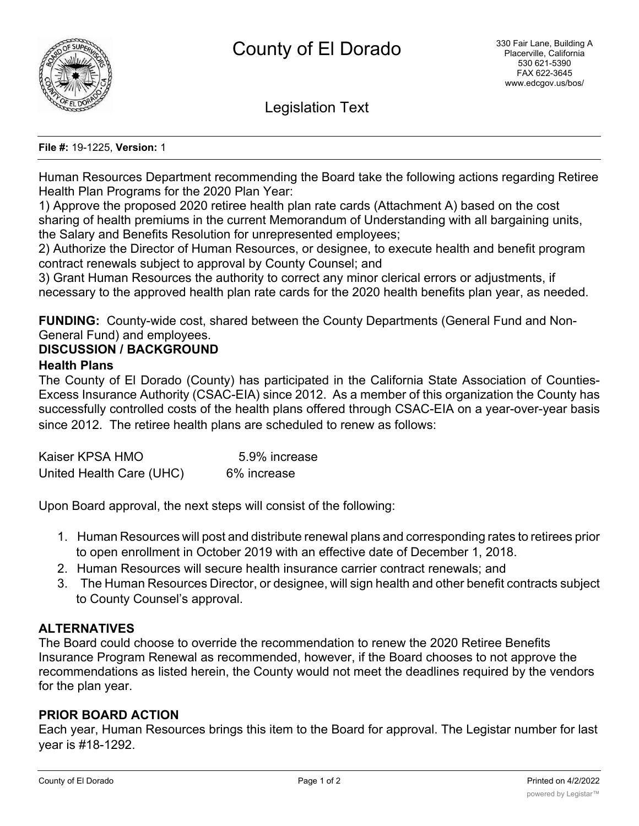

Legislation Text

#### **File #:** 19-1225, **Version:** 1

Human Resources Department recommending the Board take the following actions regarding Retiree Health Plan Programs for the 2020 Plan Year:

1) Approve the proposed 2020 retiree health plan rate cards (Attachment A) based on the cost sharing of health premiums in the current Memorandum of Understanding with all bargaining units, the Salary and Benefits Resolution for unrepresented employees;

2) Authorize the Director of Human Resources, or designee, to execute health and benefit program contract renewals subject to approval by County Counsel; and

3) Grant Human Resources the authority to correct any minor clerical errors or adjustments, if necessary to the approved health plan rate cards for the 2020 health benefits plan year, as needed.

**FUNDING:** County-wide cost, shared between the County Departments (General Fund and Non-General Fund) and employees.

## **DISCUSSION / BACKGROUND**

#### **Health Plans**

The County of El Dorado (County) has participated in the California State Association of Counties-Excess Insurance Authority (CSAC-EIA) since 2012. As a member of this organization the County has successfully controlled costs of the health plans offered through CSAC-EIA on a year-over-year basis since 2012. The retiree health plans are scheduled to renew as follows:

| Kaiser KPSA HMO          | 5.9% increase |
|--------------------------|---------------|
| United Health Care (UHC) | 6% increase   |

Upon Board approval, the next steps will consist of the following:

- 1. Human Resources will post and distribute renewal plans and corresponding rates to retirees prior to open enrollment in October 2019 with an effective date of December 1, 2018.
- 2. Human Resources will secure health insurance carrier contract renewals; and
- 3. The Human Resources Director, or designee, will sign health and other benefit contracts subject to County Counsel's approval.

## **ALTERNATIVES**

The Board could choose to override the recommendation to renew the 2020 Retiree Benefits Insurance Program Renewal as recommended, however, if the Board chooses to not approve the recommendations as listed herein, the County would not meet the deadlines required by the vendors for the plan year.

## **PRIOR BOARD ACTION**

Each year, Human Resources brings this item to the Board for approval. The Legistar number for last year is #18-1292.